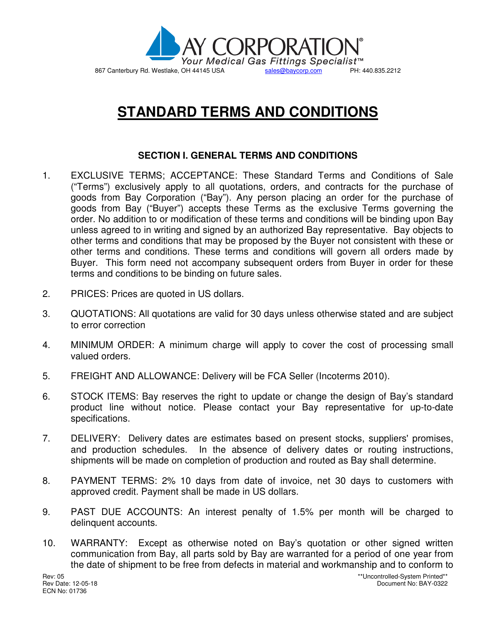

## **STANDARD TERMS AND CONDITIONS**

## **SECTION I. GENERAL TERMS AND CONDITIONS**

- 1. EXCLUSIVE TERMS; ACCEPTANCE: These Standard Terms and Conditions of Sale ("Terms") exclusively apply to all quotations, orders, and contracts for the purchase of goods from Bay Corporation ("Bay"). Any person placing an order for the purchase of goods from Bay ("Buyer") accepts these Terms as the exclusive Terms governing the order. No addition to or modification of these terms and conditions will be binding upon Bay unless agreed to in writing and signed by an authorized Bay representative. Bay objects to other terms and conditions that may be proposed by the Buyer not consistent with these or other terms and conditions. These terms and conditions will govern all orders made by Buyer. This form need not accompany subsequent orders from Buyer in order for these terms and conditions to be binding on future sales.
- 2. PRICES: Prices are quoted in US dollars.
- 3. QUOTATIONS: All quotations are valid for 30 days unless otherwise stated and are subject to error correction
- 4. MINIMUM ORDER: A minimum charge will apply to cover the cost of processing small valued orders.
- 5. FREIGHT AND ALLOWANCE: Delivery will be FCA Seller (Incoterms 2010).
- 6. STOCK ITEMS: Bay reserves the right to update or change the design of Bay's standard product line without notice. Please contact your Bay representative for up-to-date specifications.
- 7. DELIVERY: Delivery dates are estimates based on present stocks, suppliers' promises, and production schedules. In the absence of delivery dates or routing instructions, shipments will be made on completion of production and routed as Bay shall determine.
- 8. PAYMENT TERMS: 2% 10 days from date of invoice, net 30 days to customers with approved credit. Payment shall be made in US dollars.
- 9. PAST DUE ACCOUNTS: An interest penalty of 1.5% per month will be charged to delinquent accounts.
- 10. WARRANTY: Except as otherwise noted on Bay's quotation or other signed written communication from Bay, all parts sold by Bay are warranted for a period of one year from the date of shipment to be free from defects in material and workmanship and to conform to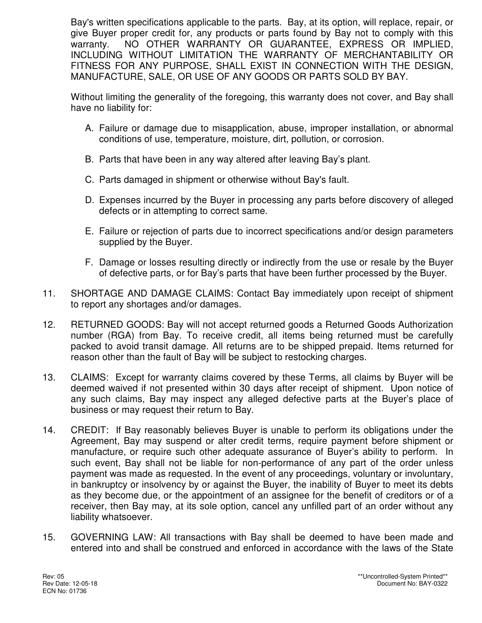Bay's written specifications applicable to the parts. Bay, at its option, will replace, repair, or give Buyer proper credit for, any products or parts found by Bay not to comply with this warranty. NO OTHER WARRANTY OR GUARANTEE, EXPRESS OR IMPLIED, INCLUDING WITHOUT LIMITATION THE WARRANTY OF MERCHANTABILITY OR FITNESS FOR ANY PURPOSE, SHALL EXIST IN CONNECTION WITH THE DESIGN, MANUFACTURE, SALE, OR USE OF ANY GOODS OR PARTS SOLD BY BAY.

Without limiting the generality of the foregoing, this warranty does not cover, and Bay shall have no liability for:

- A. Failure or damage due to misapplication, abuse, improper installation, or abnormal conditions of use, temperature, moisture, dirt, pollution, or corrosion.
- B. Parts that have been in any way altered after leaving Bay's plant.
- C. Parts damaged in shipment or otherwise without Bay's fault.
- D. Expenses incurred by the Buyer in processing any parts before discovery of alleged defects or in attempting to correct same.
- E. Failure or rejection of parts due to incorrect specifications and/or design parameters supplied by the Buyer.
- F. Damage or losses resulting directly or indirectly from the use or resale by the Buyer of defective parts, or for Bay's parts that have been further processed by the Buyer.
- 11. SHORTAGE AND DAMAGE CLAIMS: Contact Bay immediately upon receipt of shipment to report any shortages and/or damages.
- 12. RETURNED GOODS: Bay will not accept returned goods a Returned Goods Authorization number (RGA) from Bay. To receive credit, all items being returned must be carefully packed to avoid transit damage. All returns are to be shipped prepaid. Items returned for reason other than the fault of Bay will be subject to restocking charges.
- 13. CLAIMS: Except for warranty claims covered by these Terms, all claims by Buyer will be deemed waived if not presented within 30 days after receipt of shipment. Upon notice of any such claims, Bay may inspect any alleged defective parts at the Buyer's place of business or may request their return to Bay.
- 14. CREDIT: If Bay reasonably believes Buyer is unable to perform its obligations under the Agreement, Bay may suspend or alter credit terms, require payment before shipment or manufacture, or require such other adequate assurance of Buyer's ability to perform. In such event, Bay shall not be liable for non-performance of any part of the order unless payment was made as requested. In the event of any proceedings, voluntary or involuntary, in bankruptcy or insolvency by or against the Buyer, the inability of Buyer to meet its debts as they become due, or the appointment of an assignee for the benefit of creditors or of a receiver, then Bay may, at its sole option, cancel any unfilled part of an order without any liability whatsoever.
- 15. GOVERNING LAW: All transactions with Bay shall be deemed to have been made and entered into and shall be construed and enforced in accordance with the laws of the State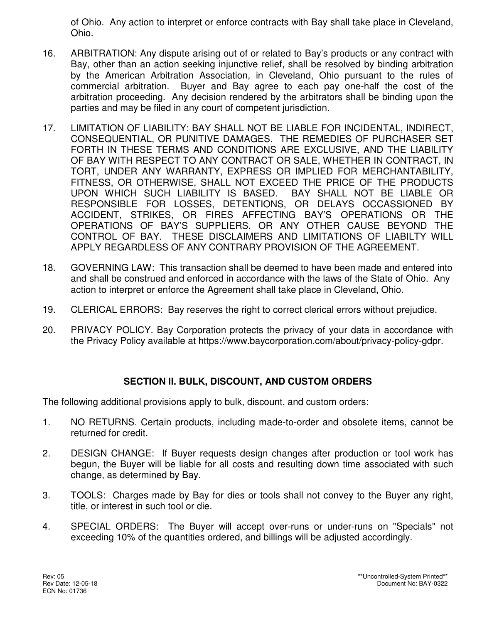of Ohio. Any action to interpret or enforce contracts with Bay shall take place in Cleveland, Ohio.

- 16. ARBITRATION: Any dispute arising out of or related to Bay's products or any contract with Bay, other than an action seeking injunctive relief, shall be resolved by binding arbitration by the American Arbitration Association, in Cleveland, Ohio pursuant to the rules of commercial arbitration. Buyer and Bay agree to each pay one-half the cost of the arbitration proceeding. Any decision rendered by the arbitrators shall be binding upon the parties and may be filed in any court of competent jurisdiction.
- 17. LIMITATION OF LIABILITY: BAY SHALL NOT BE LIABLE FOR INCIDENTAL, INDIRECT, CONSEQUENTIAL, OR PUNITIVE DAMAGES. THE REMEDIES OF PURCHASER SET FORTH IN THESE TERMS AND CONDITIONS ARE EXCLUSIVE, AND THE LIABILITY OF BAY WITH RESPECT TO ANY CONTRACT OR SALE, WHETHER IN CONTRACT, IN TORT, UNDER ANY WARRANTY, EXPRESS OR IMPLIED FOR MERCHANTABILITY, FITNESS, OR OTHERWISE, SHALL NOT EXCEED THE PRICE OF THE PRODUCTS UPON WHICH SUCH LIABILITY IS BASED. BAY SHALL NOT BE LIABLE OR RESPONSIBLE FOR LOSSES, DETENTIONS, OR DELAYS OCCASSIONED BY ACCIDENT, STRIKES, OR FIRES AFFECTING BAY'S OPERATIONS OR THE OPERATIONS OF BAY'S SUPPLIERS, OR ANY OTHER CAUSE BEYOND THE CONTROL OF BAY. THESE DISCLAIMERS AND LIMITATIONS OF LIABILTY WILL APPLY REGARDLESS OF ANY CONTRARY PROVISION OF THE AGREEMENT.
- 18. GOVERNING LAW: This transaction shall be deemed to have been made and entered into and shall be construed and enforced in accordance with the laws of the State of Ohio. Any action to interpret or enforce the Agreement shall take place in Cleveland, Ohio.
- 19. CLERICAL ERRORS: Bay reserves the right to correct clerical errors without prejudice.
- 20. PRIVACY POLICY. Bay Corporation protects the privacy of your data in accordance with the Privacy Policy available at https://www.baycorporation.com/about/privacy-policy-gdpr.

## **SECTION II. BULK, DISCOUNT, AND CUSTOM ORDERS**

The following additional provisions apply to bulk, discount, and custom orders:

- 1. NO RETURNS. Certain products, including made-to-order and obsolete items, cannot be returned for credit.
- 2. DESIGN CHANGE: If Buyer requests design changes after production or tool work has begun, the Buyer will be liable for all costs and resulting down time associated with such change, as determined by Bay.
- 3. TOOLS: Charges made by Bay for dies or tools shall not convey to the Buyer any right, title, or interest in such tool or die.
- 4. SPECIAL ORDERS: The Buyer will accept over-runs or under-runs on "Specials" not exceeding 10% of the quantities ordered, and billings will be adjusted accordingly.